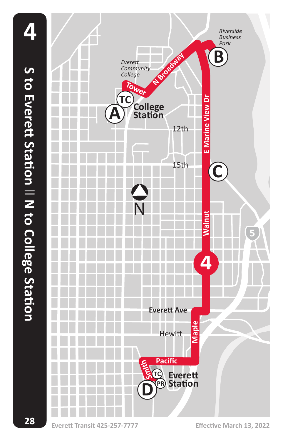

**Everett Transit 425-257-7777 Effective March 13, 2022**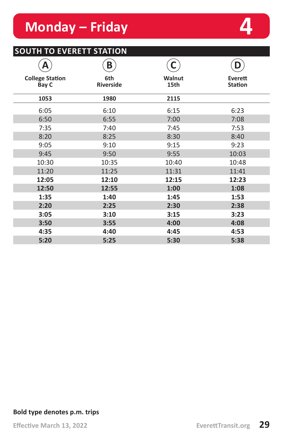## **Monday – Friday 4**

### **SOUTH TO EVERETT STATION**

| А                               | B                |                | D                         |
|---------------------------------|------------------|----------------|---------------------------|
| <b>College Station</b><br>Bay C | 6th<br>Riverside | Walnut<br>15th | Everett<br><b>Station</b> |
| 1053                            | 1980             | 2115           |                           |
| 6:05                            | 6:10             | 6:15           | 6:23                      |
| 6:50                            | 6:55             | 7:00           | 7:08                      |
| 7:35                            | 7:40             | 7:45           | 7:53                      |
| 8:20                            | 8:25             | 8:30           | 8:40                      |
| 9:05                            | 9:10             | 9:15           | 9:23                      |
| 9:45                            | 9:50             | 9:55           | 10:03                     |
| 10:30                           | 10:35            | 10:40          | 10:48                     |
| 11:20                           | 11:25            | 11:31          | 11:41                     |
| 12:05                           | 12:10            | 12:15          | 12:23                     |
| 12:50                           | 12:55            | 1:00           | 1:08                      |
| 1:35                            | 1:40             | 1:45           | 1:53                      |
| 2:20                            | 2:25             | 2:30           | 2:38                      |
| 3:05                            | 3:10             | 3:15           | 3:23                      |
| 3:50                            | 3:55             | 4:00           | 4:08                      |
| 4:35                            | 4:40             | 4:45           | 4:53                      |
| 5:20                            | 5:25             | 5:30           | 5:38                      |

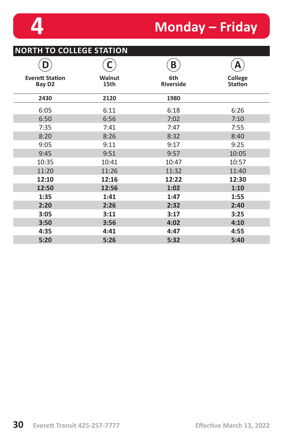# **4 Monday – Friday**

| <b>NORTH TO COLLEGE STATION</b>              |                       |                         |                           |  |
|----------------------------------------------|-----------------------|-------------------------|---------------------------|--|
|                                              | C                     | B                       | А                         |  |
| <b>Everett Station</b><br>Bay D <sub>2</sub> | <b>Walnut</b><br>15th | 6th<br><b>Riverside</b> | College<br><b>Station</b> |  |
| 2430                                         | 2120                  | 1980                    |                           |  |
| 6:05                                         | 6:11                  | 6:18                    | 6:26                      |  |
| 6:50                                         | 6:56                  | 7:02                    | 7:10                      |  |
| 7:35                                         | 7:41                  | 7:47                    | 7:55                      |  |
| 8:20                                         | 8:26                  | 8:32                    | 8:40                      |  |
| 9:05                                         | 9:11                  | 9:17                    | 9:25                      |  |
| 9:45                                         | 9:51                  | 9:57                    | 10:05                     |  |
| 10:35                                        | 10:41                 | 10:47                   | 10:57                     |  |
| 11:20                                        | 11:26                 | 11:32                   | 11:40                     |  |
| 12:10                                        | 12:16                 | 12:22                   | 12:30                     |  |
| 12:50                                        | 12:56                 | 1:02                    | 1:10                      |  |
| 1:35                                         | 1:41                  | 1:47                    | 1:55                      |  |
| 2:20                                         | 2:26                  | 2:32                    | 2:40                      |  |
| 3:05                                         | 3:11                  | 3:17                    | 3:25                      |  |
| 3:50                                         | 3:56                  | 4:02                    | 4:10                      |  |
| 4:35                                         | 4:41                  | 4:47                    | 4:55                      |  |
| 5:20                                         | 5:26                  | 5:32                    | 5:40                      |  |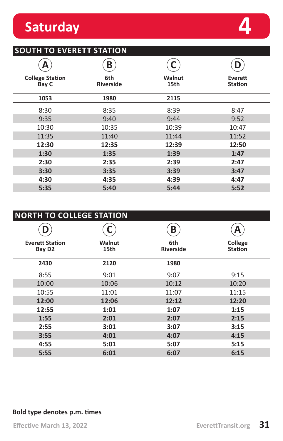## **Saturday 4**

### **SOUTH TO EVERETT STATION**

|                                 | Β                       |                |                           |
|---------------------------------|-------------------------|----------------|---------------------------|
| <b>College Station</b><br>Bay C | 6th<br><b>Riverside</b> | Walnut<br>15th | Everett<br><b>Station</b> |
| 1053                            | 1980                    | 2115           |                           |
| 8:30                            | 8:35                    | 8:39           | 8:47                      |
| 9:35                            | 9:40                    | 9:44           | 9:52                      |
| 10:30                           | 10:35                   | 10:39          | 10:47                     |
| 11:35                           | 11:40                   | 11:44          | 11:52                     |
| 12:30                           | 12:35                   | 12:39          | 12:50                     |
| 1:30                            | 1:35                    | 1:39           | 1:47                      |
| 2:30                            | 2:35                    | 2:39           | 2:47                      |
| 3:30                            | 3:35                    | 3:39           | 3:47                      |
| 4:30                            | 4:35                    | 4:39           | 4:47                      |
| 5:35                            | 5:40                    | 5:44           | 5:52                      |

| <b>NORTH TO COLLEGE STATION</b>              |                       |                         |                           |  |  |
|----------------------------------------------|-----------------------|-------------------------|---------------------------|--|--|
|                                              |                       | B                       |                           |  |  |
| <b>Everett Station</b><br>Bay D <sub>2</sub> | <b>Walnut</b><br>15th | 6th<br><b>Riverside</b> | College<br><b>Station</b> |  |  |
| 2430                                         | 2120                  | 1980                    |                           |  |  |
| 8:55                                         | 9:01                  | 9:07                    | 9:15                      |  |  |
| 10:00                                        | 10:06                 | 10:12                   | 10:20                     |  |  |
| 10:55                                        | 11:01                 | 11:07                   | 11:15                     |  |  |
| 12:00                                        | 12:06                 | 12:12                   | 12:20                     |  |  |
| 12:55                                        | 1:01                  | 1:07                    | 1:15                      |  |  |
| 1:55                                         | 2:01                  | 2:07                    | 2:15                      |  |  |
| 2:55                                         | 3:01                  | 3:07                    | 3:15                      |  |  |
| 3:55                                         | 4:01                  | 4:07                    | 4:15                      |  |  |
| 4:55                                         | 5:01                  | 5:07                    | 5:15                      |  |  |
| 5:55                                         | 6:01                  | 6:07                    | 6:15                      |  |  |

#### **Bold type denotes p.m. times**